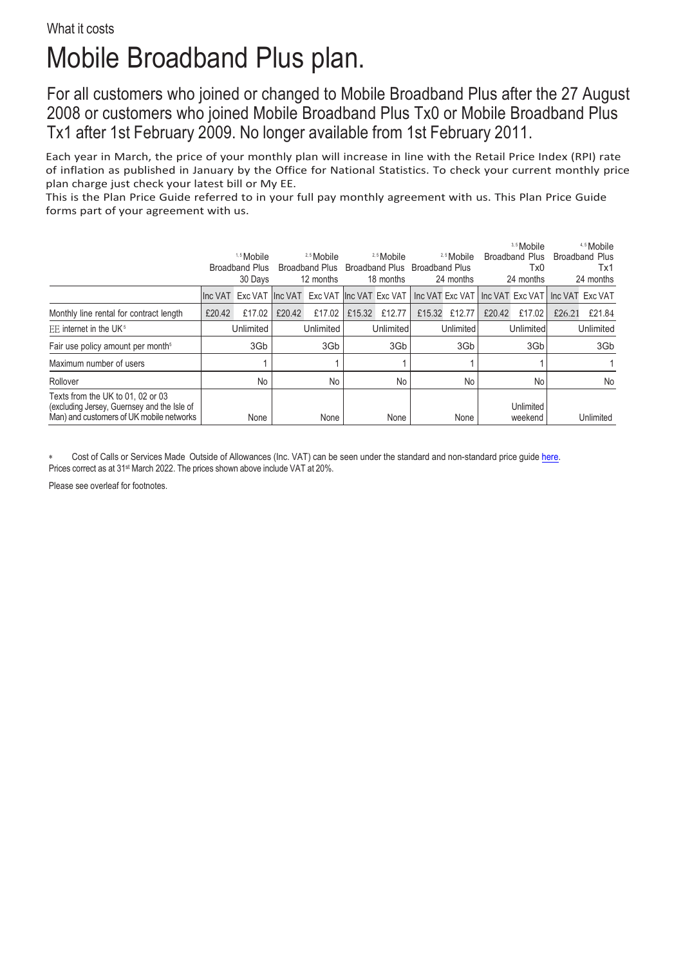## Mobile Broadband Plus plan.

For all customers who joined or changed to Mobile Broadband Plus after the 27 August 2008 or customers who joined Mobile Broadband Plus Tx0 or Mobile Broadband Plus Tx1 after 1st February 2009. No longer available from 1st February 2011.

Each year in March, the price of your monthly plan will increase in line with the Retail Price Index (RPI) rate of inflation as published in January by the Office for National Statistics. To check your current monthly price plan charge just check your latest bill or My EE.

This is the Plan Price Guide referred to in your full pay monthly agreement with us. This Plan Price Guide forms part of your agreement with us.

|                                                                                                                              | 1.5 Mobile<br><b>Broadband Plus</b><br>30 Days |        | <sup>2,5</sup> Mobile<br><b>Broadband Plus</b><br>12 months |                                                                                                       | <sup>2.5</sup> Mobile<br>Broadband Plus<br>18 months |        | <sup>2,5</sup> Mobile<br><b>Broadband Plus</b><br>24 months |        | 3.5 Mobile<br>Broadband Plus<br>Tx0<br>24 months |                      | <sup>4.5</sup> Mobile<br><b>Broadband Plus</b><br>Tx1<br>24 months |           |
|------------------------------------------------------------------------------------------------------------------------------|------------------------------------------------|--------|-------------------------------------------------------------|-------------------------------------------------------------------------------------------------------|------------------------------------------------------|--------|-------------------------------------------------------------|--------|--------------------------------------------------|----------------------|--------------------------------------------------------------------|-----------|
|                                                                                                                              |                                                |        |                                                             | linc VAT Exc VAT linc VAT Exc VAT linc VAT Exc VAT Linc VAT Exc VAT Linc VAT Exc VAT Linc VAT Exc VAT |                                                      |        |                                                             |        |                                                  |                      |                                                                    |           |
| Monthly line rental for contract length                                                                                      | £20.42                                         | £17.02 | £20.42                                                      | £17.02                                                                                                | £15.32                                               | £12.77 | £15.32                                                      | £12.77 | £20.42                                           | £17.02               | £26.21                                                             | £21.84    |
| EE internet in the UK <sup>5</sup>                                                                                           | Unlimited                                      |        | Unlimited                                                   |                                                                                                       | Unlimited                                            |        | Unlimited                                                   |        | Unlimited                                        |                      | Unlimited                                                          |           |
| Fair use policy amount per month <sup>5</sup>                                                                                | 3Gb                                            |        | 3Gb                                                         |                                                                                                       | 3Gb                                                  |        | 3Gb                                                         |        | 3Gb                                              |                      | 3Gb                                                                |           |
| Maximum number of users                                                                                                      |                                                |        |                                                             |                                                                                                       |                                                      |        |                                                             |        |                                                  |                      |                                                                    |           |
| Rollover                                                                                                                     | No                                             |        | No                                                          |                                                                                                       | No                                                   |        | No                                                          |        | No                                               |                      | No                                                                 |           |
| Texts from the UK to 01, 02 or 03<br>(excluding Jersey, Guernsey and the Isle of<br>Man) and customers of UK mobile networks |                                                | None   |                                                             | None                                                                                                  |                                                      | None   |                                                             | None   |                                                  | Unlimited<br>weekend |                                                                    | Unlimited |

Cost of Calls or Services Made Outside of Allowances (Inc. VAT) can be seen under the standard and non-standard price quid[e here.](https://ee.co.uk/help/help-new/price-plans/legacy-brand/pay-monthly-price-plans) Prices correct as at 31<sup>st</sup> March 2022. The prices shown above include VAT at 20%.

Please see overleaf for footnotes.